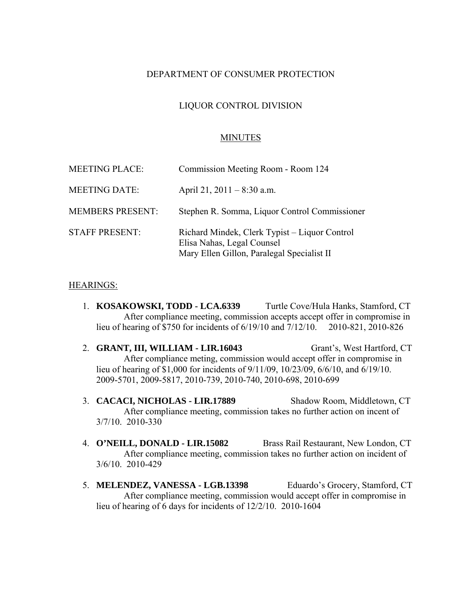### DEPARTMENT OF CONSUMER PROTECTION

### LIQUOR CONTROL DIVISION

#### MINUTES

| <b>MEETING PLACE:</b>   | Commission Meeting Room - Room 124                                                                                        |
|-------------------------|---------------------------------------------------------------------------------------------------------------------------|
| <b>MEETING DATE:</b>    | April 21, $2011 - 8:30$ a.m.                                                                                              |
| <b>MEMBERS PRESENT:</b> | Stephen R. Somma, Liquor Control Commissioner                                                                             |
| <b>STAFF PRESENT:</b>   | Richard Mindek, Clerk Typist - Liquor Control<br>Elisa Nahas, Legal Counsel<br>Mary Ellen Gillon, Paralegal Specialist II |

#### HEARINGS:

- 1. **KOSAKOWSKI, TODD LCA.6339** Turtle Cove/Hula Hanks, Stamford, CT After compliance meeting, commission accepts accept offer in compromise in lieu of hearing of \$750 for incidents of 6/19/10 and 7/12/10. 2010-821, 2010-826
- 2. **GRANT, III, WILLIAM LIR.16043** Grant's, West Hartford, CT After compliance meting, commission would accept offer in compromise in lieu of hearing of \$1,000 for incidents of 9/11/09, 10/23/09, 6/6/10, and 6/19/10. 2009-5701, 2009-5817, 2010-739, 2010-740, 2010-698, 2010-699
- 3. **CACACI, NICHOLAS LIR.17889** Shadow Room, Middletown, CT After compliance meeting, commission takes no further action on incent of 3/7/10. 2010-330
- 4. **O'NEILL, DONALD LIR.15082** Brass Rail Restaurant, New London, CT After compliance meeting, commission takes no further action on incident of 3/6/10. 2010-429
- 5. **MELENDEZ, VANESSA LGB.13398** Eduardo's Grocery, Stamford, CT After compliance meeting, commission would accept offer in compromise in lieu of hearing of 6 days for incidents of 12/2/10. 2010-1604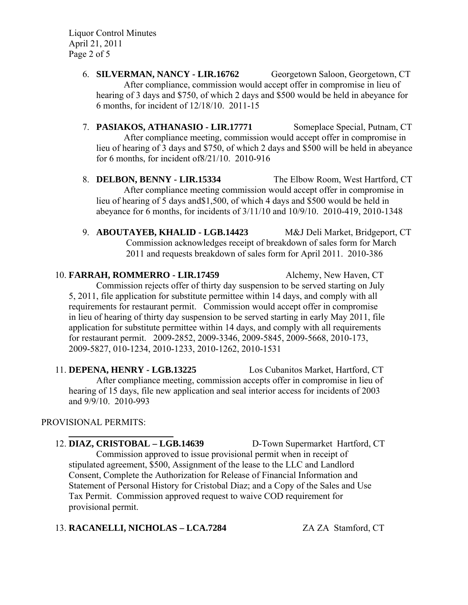Liquor Control Minutes April 21, 2011 Page 2 of 5

- 6. **SILVERMAN, NANCY LIR.16762** Georgetown Saloon, Georgetown, CT After compliance, commission would accept offer in compromise in lieu of hearing of 3 days and \$750, of which 2 days and \$500 would be held in abeyance for 6 months, for incident of 12/18/10. 2011-15
- 7. **PASIAKOS, ATHANASIO LIR.17771** Someplace Special, Putnam, CT After compliance meeting, commission would accept offer in compromise in lieu of hearing of 3 days and \$750, of which 2 days and \$500 will be held in abeyance for 6 months, for incident of8/21/10. 2010-916
- 8. **DELBON, BENNY LIR.15334** The Elbow Room, West Hartford, CT After compliance meeting commission would accept offer in compromise in lieu of hearing of 5 days and\$1,500, of which 4 days and \$500 would be held in abeyance for 6 months, for incidents of 3/11/10 and 10/9/10. 2010-419, 2010-1348
- 9. **ABOUTAYEB, KHALID LGB.14423** M&J Deli Market, Bridgeport, CT Commission acknowledges receipt of breakdown of sales form for March 2011 and requests breakdown of sales form for April 2011. 2010-386

10. **FARRAH, ROMMERRO - LIR.17459** Alchemy, New Haven, CT Commission rejects offer of thirty day suspension to be served starting on July 5, 2011, file application for substitute permittee within 14 days, and comply with all requirements for restaurant permit. Commission would accept offer in compromise in lieu of hearing of thirty day suspension to be served starting in early May 2011, file application for substitute permittee within 14 days, and comply with all requirements for restaurant permit. 2009-2852, 2009-3346, 2009-5845, 2009-5668, 2010-173, 2009-5827, 010-1234, 2010-1233, 2010-1262, 2010-1531

11. **DEPENA, HENRY - LGB.13225** Los Cubanitos Market, Hartford, CT After compliance meeting, commission accepts offer in compromise in lieu of hearing of 15 days, file new application and seal interior access for incidents of 2003 and 9/9/10. 2010-993

# PROVISIONAL PERMITS:

12. **DIAZ, CRISTOBAL – LGB.14639** D-Town Supermarket Hartford, CT Commission approved to issue provisional permit when in receipt of stipulated agreement, \$500, Assignment of the lease to the LLC and Landlord Consent, Complete the Authorization for Release of Financial Information and Statement of Personal History for Cristobal Diaz; and a Copy of the Sales and Use Tax Permit. Commission approved request to waive COD requirement for provisional permit.

# 13. RACANELLI, NICHOLAS - LCA.7284 ZA ZA Stamford, CT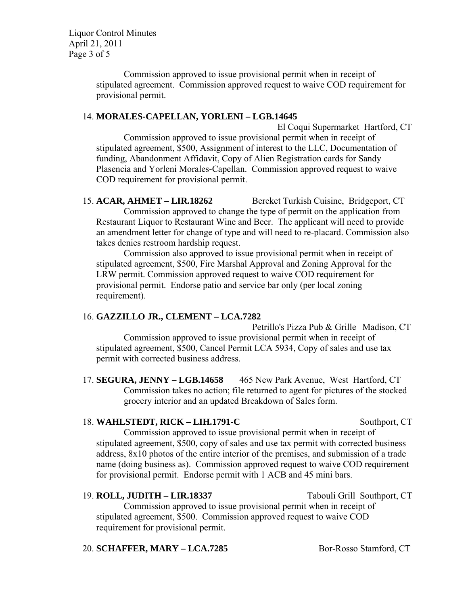Liquor Control Minutes April 21, 2011 Page 3 of 5

> Commission approved to issue provisional permit when in receipt of stipulated agreement. Commission approved request to waive COD requirement for provisional permit.

#### 14. **MORALES-CAPELLAN, YORLENI – LGB.14645**

 El Coqui Supermarket Hartford, CT Commission approved to issue provisional permit when in receipt of stipulated agreement, \$500, Assignment of interest to the LLC, Documentation of funding, Abandonment Affidavit, Copy of Alien Registration cards for Sandy Plasencia and Yorleni Morales-Capellan. Commission approved request to waive COD requirement for provisional permit.

15. **ACAR, AHMET – LIR.18262** Bereket Turkish Cuisine, Bridgeport, CT Commission approved to change the type of permit on the application from Restaurant Liquor to Restaurant Wine and Beer. The applicant will need to provide an amendment letter for change of type and will need to re-placard. Commission also takes denies restroom hardship request.

Commission also approved to issue provisional permit when in receipt of stipulated agreement, \$500, Fire Marshal Approval and Zoning Approval for the LRW permit. Commission approved request to waive COD requirement for provisional permit. Endorse patio and service bar only (per local zoning requirement).

# 16. **GAZZILLO JR., CLEMENT – LCA.7282**

 Petrillo's Pizza Pub & Grille Madison, CT Commission approved to issue provisional permit when in receipt of stipulated agreement, \$500, Cancel Permit LCA 5934, Copy of sales and use tax permit with corrected business address.

17. **SEGURA, JENNY – LGB.14658** 465 New Park Avenue, West Hartford, CT Commission takes no action; file returned to agent for pictures of the stocked grocery interior and an updated Breakdown of Sales form.

# 18. **WAHLSTEDT, RICK – LIH.1791-C** Southport, CT

Commission approved to issue provisional permit when in receipt of stipulated agreement, \$500, copy of sales and use tax permit with corrected business address, 8x10 photos of the entire interior of the premises, and submission of a trade name (doing business as). Commission approved request to waive COD requirement for provisional permit. Endorse permit with 1 ACB and 45 mini bars.

# 19. **ROLL, JUDITH – LIR.18337** Tabouli Grill Southport, CT

Commission approved to issue provisional permit when in receipt of stipulated agreement, \$500. Commission approved request to waive COD requirement for provisional permit.

# 20. **SCHAFFER, MARY – LCA.7285** Bor-Rosso Stamford, CT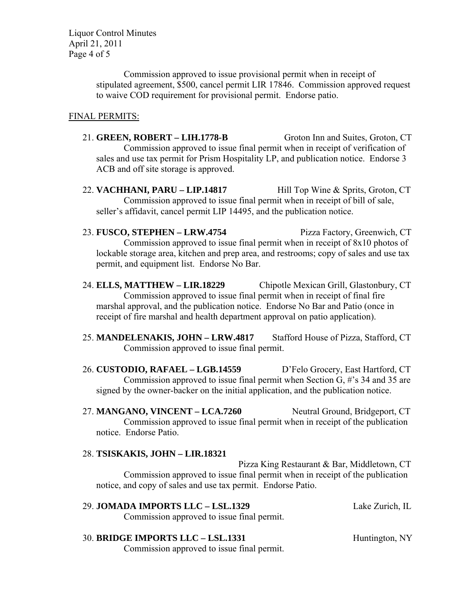Liquor Control Minutes April 21, 2011 Page 4 of 5

> Commission approved to issue provisional permit when in receipt of stipulated agreement, \$500, cancel permit LIR 17846. Commission approved request to waive COD requirement for provisional permit. Endorse patio.

### FINAL PERMITS:

- 21. **GREEN, ROBERT LIH.1778-B** Groton Inn and Suites, Groton, CT Commission approved to issue final permit when in receipt of verification of sales and use tax permit for Prism Hospitality LP, and publication notice. Endorse 3 ACB and off site storage is approved.
- 22. **VACHHANI, PARU LIP.14817** Hill Top Wine & Sprits, Groton, CT Commission approved to issue final permit when in receipt of bill of sale, seller's affidavit, cancel permit LIP 14495, and the publication notice.
- 23. **FUSCO, STEPHEN LRW.4754** Pizza Factory, Greenwich, CT Commission approved to issue final permit when in receipt of 8x10 photos of lockable storage area, kitchen and prep area, and restrooms; copy of sales and use tax permit, and equipment list. Endorse No Bar.
- 24. **ELLS, MATTHEW LIR.18229** Chipotle Mexican Grill, Glastonbury, CT Commission approved to issue final permit when in receipt of final fire marshal approval, and the publication notice. Endorse No Bar and Patio (once in receipt of fire marshal and health department approval on patio application).
- 25. **MANDELENAKIS, JOHN LRW.4817** Stafford House of Pizza, Stafford, CT Commission approved to issue final permit.
- 26. **CUSTODIO, RAFAEL LGB.14559** D'Felo Grocery, East Hartford, CT Commission approved to issue final permit when Section G, #'s 34 and 35 are signed by the owner-backer on the initial application, and the publication notice.

27. **MANGANO, VINCENT – LCA.7260** Neutral Ground, Bridgeport, CT Commission approved to issue final permit when in receipt of the publication notice. Endorse Patio.

#### 28. **TSISKAKIS, JOHN – LIR.18321**

 Pizza King Restaurant & Bar, Middletown, CT Commission approved to issue final permit when in receipt of the publication notice, and copy of sales and use tax permit. Endorse Patio.

| <b>29. JOMADA IMPORTS LLC – LSL.1329</b>   | Lake Zurich, IL |
|--------------------------------------------|-----------------|
| Commission approved to issue final permit. |                 |
|                                            |                 |

### 30. **BRIDGE IMPORTS LLC – LSL.1331** Huntington, NY Commission approved to issue final permit.